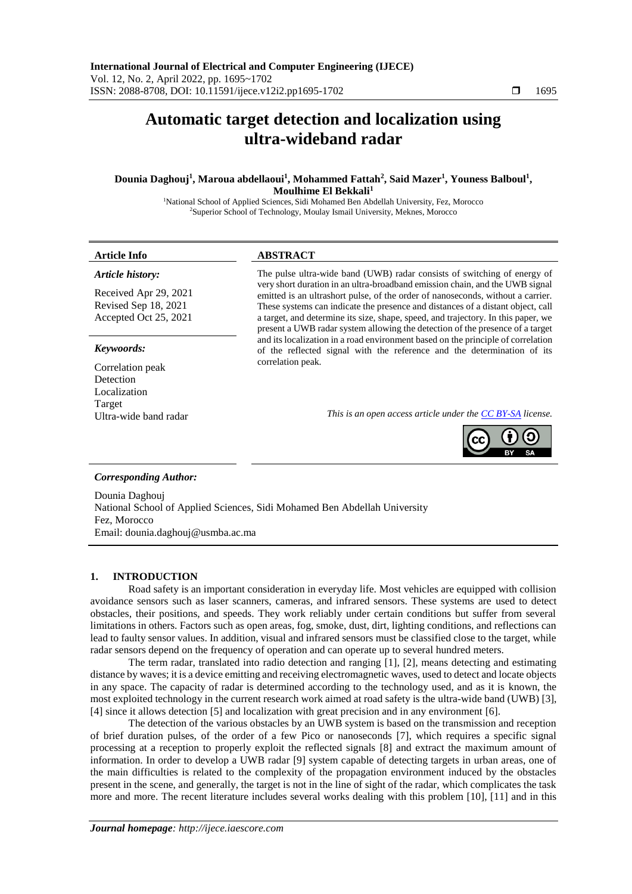# **Automatic target detection and localization using ultra-wideband radar**

**Dounia Daghouj<sup>1</sup> , Maroua abdellaoui<sup>1</sup> , Mohammed Fattah<sup>2</sup> , Said Mazer<sup>1</sup> , Youness Balboul<sup>1</sup> , Moulhime El Bekkali<sup>1</sup>**

<sup>1</sup>National School of Applied Sciences, Sidi Mohamed Ben Abdellah University, Fez, Morocco <sup>2</sup>Superior School of Technology, Moulay Ismail University, Meknes, Morocco

# **Article Info ABSTRACT**

### *Article history:*

Received Apr 29, 2021 Revised Sep 18, 2021 Accepted Oct 25, 2021

# *Keywoords:*

Correlation peak Detection Localization Target

The pulse ultra-wide band (UWB) radar consists of switching of energy of very short duration in an ultra-broadband emission chain, and the UWB signal emitted is an ultrashort pulse, of the order of nanoseconds, without a carrier. These systems can indicate the presence and distances of a distant object, call a target, and determine its size, shape, speed, and trajectory. In this paper, we present a UWB radar system allowing the detection of the presence of a target and its localization in a road environment based on the principle of correlation of the reflected signal with the reference and the determination of its correlation peak.

Ultra-wide band radar *This is an open access article under the [CC BY-SA](https://creativecommons.org/licenses/by-sa/4.0/) license.*



# *Corresponding Author:*

Dounia Daghouj National School of Applied Sciences, Sidi Mohamed Ben Abdellah University Fez, Morocco Email: dounia.daghouj@usmba.ac.ma

# **1. INTRODUCTION**

Road safety is an important consideration in everyday life. Most vehicles are equipped with collision avoidance sensors such as laser scanners, cameras, and infrared sensors. These systems are used to detect obstacles, their positions, and speeds. They work reliably under certain conditions but suffer from several limitations in others. Factors such as open areas, fog, smoke, dust, dirt, lighting conditions, and reflections can lead to faulty sensor values. In addition, visual and infrared sensors must be classified close to the target, while radar sensors depend on the frequency of operation and can operate up to several hundred meters.

The term radar, translated into radio detection and ranging [1], [2], means detecting and estimating distance by waves; it is a device emitting and receiving electromagnetic waves, used to detect and locate objects in any space. The capacity of radar is determined according to the technology used, and as it is known, the most exploited technology in the current research work aimed at road safety is the ultra-wide band (UWB) [3], [4] since it allows detection [5] and localization with great precision and in any environment [6].

The detection of the various obstacles by an UWB system is based on the transmission and reception of brief duration pulses, of the order of a few Pico or nanoseconds [7], which requires a specific signal processing at a reception to properly exploit the reflected signals [8] and extract the maximum amount of information. In order to develop a UWB radar [9] system capable of detecting targets in urban areas, one of the main difficulties is related to the complexity of the propagation environment induced by the obstacles present in the scene, and generally, the target is not in the line of sight of the radar, which complicates the task more and more. The recent literature includes several works dealing with this problem [10], [11] and in this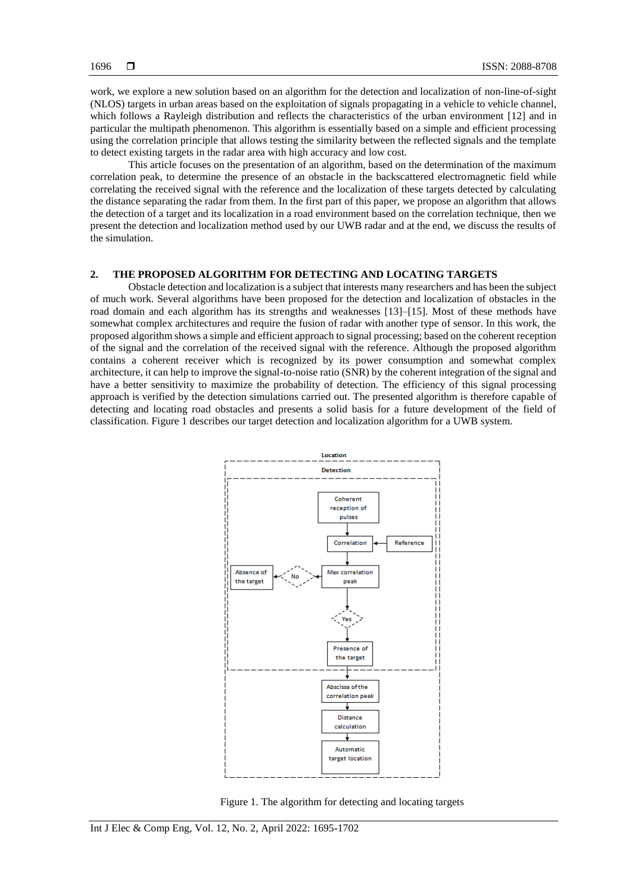work, we explore a new solution based on an algorithm for the detection and localization of non-line-of-sight (NLOS) targets in urban areas based on the exploitation of signals propagating in a vehicle to vehicle channel, which follows a Rayleigh distribution and reflects the characteristics of the urban environment [12] and in particular the multipath phenomenon. This algorithm is essentially based on a simple and efficient processing using the correlation principle that allows testing the similarity between the reflected signals and the template to detect existing targets in the radar area with high accuracy and low cost.

This article focuses on the presentation of an algorithm, based on the determination of the maximum correlation peak, to determine the presence of an obstacle in the backscattered electromagnetic field while correlating the received signal with the reference and the localization of these targets detected by calculating the distance separating the radar from them. In the first part of this paper, we propose an algorithm that allows the detection of a target and its localization in a road environment based on the correlation technique, then we present the detection and localization method used by our UWB radar and at the end, we discuss the results of the simulation.

# **2. THE PROPOSED ALGORITHM FOR DETECTING AND LOCATING TARGETS**

Obstacle detection and localization is a subject that interests many researchers and has been the subject of much work. Several algorithms have been proposed for the detection and localization of obstacles in the road domain and each algorithm has its strengths and weaknesses [13]–[15]. Most of these methods have somewhat complex architectures and require the fusion of radar with another type of sensor. In this work, the proposed algorithm shows a simple and efficient approach to signal processing; based on the coherent reception of the signal and the correlation of the received signal with the reference. Although the proposed algorithm contains a coherent receiver which is recognized by its power consumption and somewhat complex architecture, it can help to improve the signal-to-noise ratio (SNR) by the coherent integration of the signal and have a better sensitivity to maximize the probability of detection. The efficiency of this signal processing approach is verified by the detection simulations carried out. The presented algorithm is therefore capable of detecting and locating road obstacles and presents a solid basis for a future development of the field of classification. Figure 1 describes our target detection and localization algorithm for a UWB system.



Figure 1. The algorithm for detecting and locating targets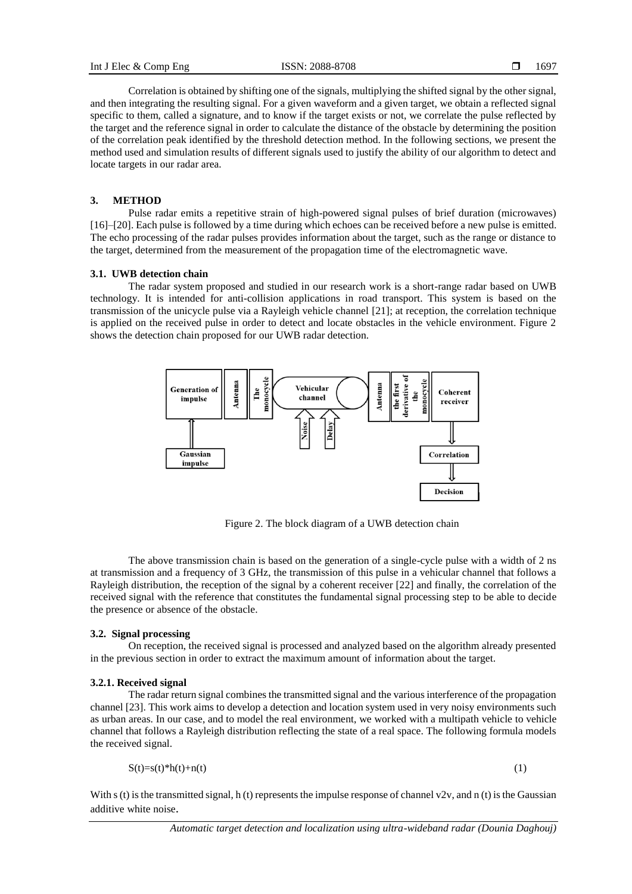Correlation is obtained by shifting one of the signals, multiplying the shifted signal by the other signal, and then integrating the resulting signal. For a given waveform and a given target, we obtain a reflected signal specific to them, called a signature, and to know if the target exists or not, we correlate the pulse reflected by the target and the reference signal in order to calculate the distance of the obstacle by determining the position of the correlation peak identified by the threshold detection method. In the following sections, we present the method used and simulation results of different signals used to justify the ability of our algorithm to detect and locate targets in our radar area.

#### **3. METHOD**

Pulse radar emits a repetitive strain of high-powered signal pulses of brief duration (microwaves) [16]–[20]. Each pulse is followed by a time during which echoes can be received before a new pulse is emitted. The echo processing of the radar pulses provides information about the target, such as the range or distance to the target, determined from the measurement of the propagation time of the electromagnetic wave.

# **3.1. UWB detection chain**

The radar system proposed and studied in our research work is a short-range radar based on UWB technology. It is intended for anti-collision applications in road transport. This system is based on the transmission of the unicycle pulse via a Rayleigh vehicle channel [21]; at reception, the correlation technique is applied on the received pulse in order to detect and locate obstacles in the vehicle environment. Figure 2 shows the detection chain proposed for our UWB radar detection.



Figure 2. The block diagram of a UWB detection chain

The above transmission chain is based on the generation of a single-cycle pulse with a width of 2 ns at transmission and a frequency of 3 GHz, the transmission of this pulse in a vehicular channel that follows a Rayleigh distribution, the reception of the signal by a coherent receiver [22] and finally, the correlation of the received signal with the reference that constitutes the fundamental signal processing step to be able to decide the presence or absence of the obstacle.

#### **3.2. Signal processing**

On reception, the received signal is processed and analyzed based on the algorithm already presented in the previous section in order to extract the maximum amount of information about the target.

#### **3.2.1. Received signal**

The radar return signal combines the transmitted signal and the various interference of the propagation channel [23]. This work aims to develop a detection and location system used in very noisy environments such as urban areas. In our case, and to model the real environment, we worked with a multipath vehicle to vehicle channel that follows a Rayleigh distribution reflecting the state of a real space. The following formula models the received signal.

$$
S(t)=s(t)*h(t)+n(t)
$$
 (1)

With s (t) is the transmitted signal, h (t) represents the impulse response of channel v2v, and n (t) is the Gaussian additive white noise.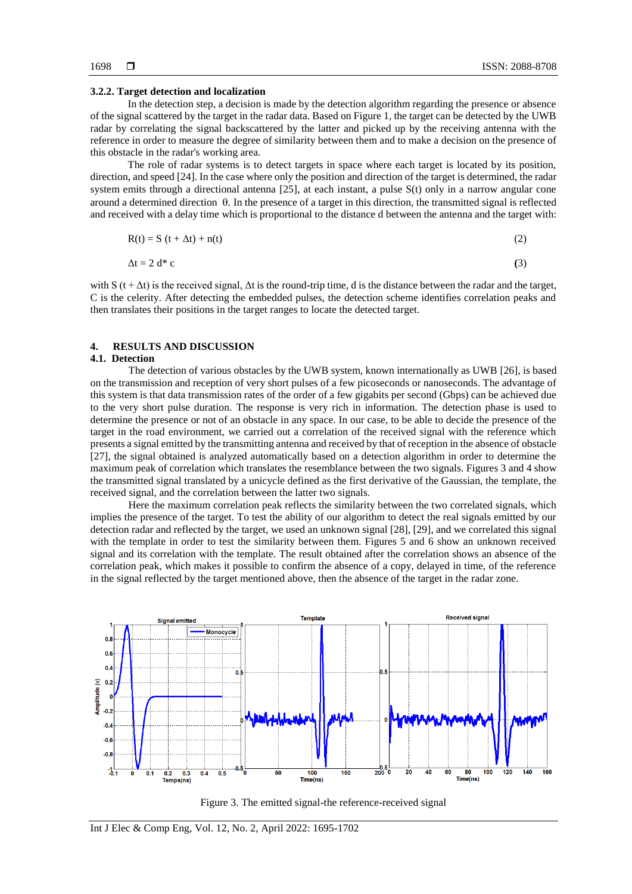#### **3.2.2. Target detection and localization**

In the detection step, a decision is made by the detection algorithm regarding the presence or absence of the signal scattered by the target in the radar data. Based on Figure 1, the target can be detected by the UWB radar by correlating the signal backscattered by the latter and picked up by the receiving antenna with the reference in order to measure the degree of similarity between them and to make a decision on the presence of this obstacle in the radar's working area.

The role of radar systems is to detect targets in space where each target is located by its position, direction, and speed [24]. In the case where only the position and direction of the target is determined, the radar system emits through a directional antenna [25], at each instant, a pulse S(t) only in a narrow angular cone around a determined direction  $\theta$ . In the presence of a target in this direction, the transmitted signal is reflected and received with a delay time which is proportional to the distance d between the antenna and the target with:

$$
R(t) = S(t + \Delta t) + n(t)
$$
 (2)

$$
\Delta t = 2 d^* c \tag{3}
$$

with S ( $t + \Delta t$ ) is the received signal,  $\Delta t$  is the round-trip time, d is the distance between the radar and the target, C is the celerity. After detecting the embedded pulses, the detection scheme identifies correlation peaks and then translates their positions in the target ranges to locate the detected target.

# **4. RESULTS AND DISCUSSION**

#### **4.1. Detection**

The detection of various obstacles by the UWB system, known internationally as UWB [26], is based on the transmission and reception of very short pulses of a few picoseconds or nanoseconds. The advantage of this system is that data transmission rates of the order of a few gigabits per second (Gbps) can be achieved due to the very short pulse duration. The response is very rich in information. The detection phase is used to determine the presence or not of an obstacle in any space. In our case, to be able to decide the presence of the target in the road environment, we carried out a correlation of the received signal with the reference which presents a signal emitted by the transmitting antenna and received by that of reception in the absence of obstacle [27], the signal obtained is analyzed automatically based on a detection algorithm in order to determine the maximum peak of correlation which translates the resemblance between the two signals. Figures 3 and 4 show the transmitted signal translated by a unicycle defined as the first derivative of the Gaussian, the template, the received signal, and the correlation between the latter two signals.

Here the maximum correlation peak reflects the similarity between the two correlated signals, which implies the presence of the target. To test the ability of our algorithm to detect the real signals emitted by our detection radar and reflected by the target, we used an unknown signal [28], [29], and we correlated this signal with the template in order to test the similarity between them. Figures 5 and 6 show an unknown received signal and its correlation with the template. The result obtained after the correlation shows an absence of the correlation peak, which makes it possible to confirm the absence of a copy, delayed in time, of the reference in the signal reflected by the target mentioned above, then the absence of the target in the radar zone.



Figure 3. The emitted signal-the reference-received signal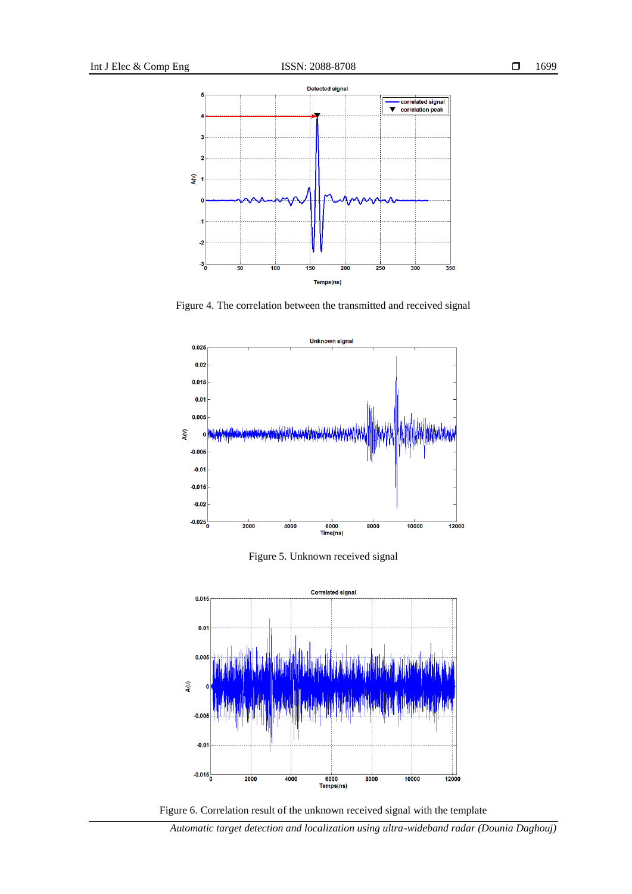

Figure 4. The correlation between the transmitted and received signal



Figure 5. Unknown received signal





*Automatic target detection and localization using ultra-wideband radar (Dounia Daghouj)*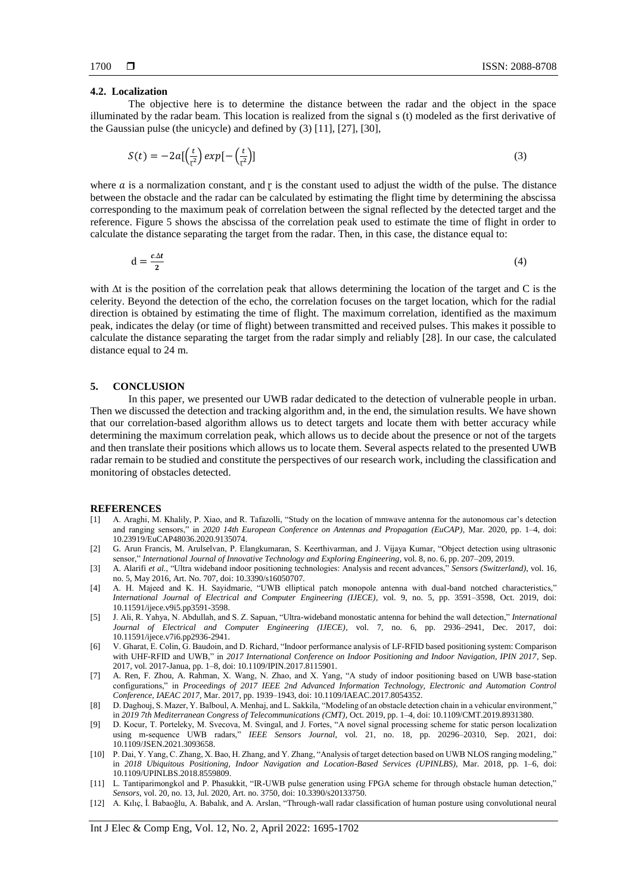#### **4.2. Localization**

The objective here is to determine the distance between the radar and the object in the space illuminated by the radar beam. This location is realized from the signal s (t) modeled as the first derivative of the Gaussian pulse (the unicycle) and defined by (3) [11], [27], [30],

$$
S(t) = -2a\left[\frac{t}{r^2}\right]exp\left[-\left(\frac{t}{r^2}\right)\right]
$$
\n(3)

where  $\alpha$  is a normalization constant, and  $\gamma$  is the constant used to adjust the width of the pulse. The distance between the obstacle and the radar can be calculated by estimating the flight time by determining the abscissa corresponding to the maximum peak of correlation between the signal reflected by the detected target and the reference. Figure 5 shows the abscissa of the correlation peak used to estimate the time of flight in order to calculate the distance separating the target from the radar. Then, in this case, the distance equal to:

 $d = \frac{c \Delta t}{2}$  $\mathbf{z}$ (4)

with ∆t is the position of the correlation peak that allows determining the location of the target and C is the celerity. Beyond the detection of the echo, the correlation focuses on the target location, which for the radial direction is obtained by estimating the time of flight. The maximum correlation, identified as the maximum peak, indicates the delay (or time of flight) between transmitted and received pulses. This makes it possible to calculate the distance separating the target from the radar simply and reliably [28]. In our case, the calculated distance equal to 24 m.

#### **5. CONCLUSION**

In this paper, we presented our UWB radar dedicated to the detection of vulnerable people in urban. Then we discussed the detection and tracking algorithm and, in the end, the simulation results. We have shown that our correlation-based algorithm allows us to detect targets and locate them with better accuracy while determining the maximum correlation peak, which allows us to decide about the presence or not of the targets and then translate their positions which allows us to locate them. Several aspects related to the presented UWB radar remain to be studied and constitute the perspectives of our research work, including the classification and monitoring of obstacles detected.

#### **REFERENCES**

- [1] A. Araghi, M. Khalily, P. Xiao, and R. Tafazolli, "Study on the location of mmwave antenna for the autonomous car's detection and ranging sensors," in *2020 14th European Conference on Antennas and Propagation (EuCAP)*, Mar. 2020, pp. 1–4, doi: 10.23919/EuCAP48036.2020.9135074.
- [2] G. Arun Francis, M. Arulselvan, P. Elangkumaran, S. Keerthivarman, and J. Vijaya Kumar, "Object detection using ultrasonic sensor," *International Journal of Innovative Technology and Exploring Engineering*, vol. 8, no. 6, pp. 207–209, 2019.
- [3] A. Alarifi *et al.*, "Ultra wideband indoor positioning technologies: Analysis and recent advances," *Sensors (Switzerland)*, vol. 16, no. 5, May 2016, Art. No. 707, doi: 10.3390/s16050707.
- [4] A. H. Majeed and K. H. Sayidmarie, "UWB elliptical patch monopole antenna with dual-band notched characteristics," *International Journal of Electrical and Computer Engineering (IJECE)*, vol. 9, no. 5, pp. 3591–3598, Oct. 2019, doi: 10.11591/ijece.v9i5.pp3591-3598.
- [5] J. Ali, R. Yahya, N. Abdullah, and S. Z. Sapuan, "Ultra-wideband monostatic antenna for behind the wall detection," *International Journal of Electrical and Computer Engineering (IJECE)*, vol. 7, no. 6, pp. 2936–2941, Dec. 2017, doi: 10.11591/ijece.v7i6.pp2936-2941.
- [6] V. Gharat, E. Colin, G. Baudoin, and D. Richard, "Indoor performance analysis of LF-RFID based positioning system: Comparison with UHF-RFID and UWB," in *2017 International Conference on Indoor Positioning and Indoor Navigation, IPIN 2017*, Sep. 2017, vol. 2017-Janua, pp. 1–8, doi: 10.1109/IPIN.2017.8115901.
- [7] A. Ren, F. Zhou, A. Rahman, X. Wang, N. Zhao, and X. Yang, "A study of indoor positioning based on UWB base-station configurations," in *Proceedings of 2017 IEEE 2nd Advanced Information Technology, Electronic and Automation Control Conference, IAEAC 2017*, Mar. 2017, pp. 1939–1943, doi: 10.1109/IAEAC.2017.8054352.
- [8] D. Daghouj, S. Mazer, Y. Balboul, A. Menhaj, and L. Sakkila, "Modeling of an obstacle detection chain in a vehicular environment," in *2019 7th Mediterranean Congress of Telecommunications (CMT)*, Oct. 2019, pp. 1–4, doi: 10.1109/CMT.2019.8931380.
- [9] D. Kocur, T. Porteleky, M. Svecova, M. Svingal, and J. Fortes, "A novel signal processing scheme for static person localization using m-sequence UWB radars," *IEEE Sensors Journal*, vol. 21, no. 18, pp. 20296–20310, Sep. 2021, doi: 10.1109/JSEN.2021.3093658.
- [10] P. Dai, Y. Yang, C. Zhang, X. Bao, H. Zhang, and Y. Zhang, "Analysis of target detection based on UWB NLOS ranging modeling," in *2018 Ubiquitous Positioning, Indoor Navigation and Location-Based Services (UPINLBS)*, Mar. 2018, pp. 1–6, doi: 10.1109/UPINLBS.2018.8559809.
- [11] L. Tantiparimongkol and P. Phasukkit, "IR-UWB pulse generation using FPGA scheme for through obstacle human detection," *Sensors*, vol. 20, no. 13, Jul. 2020, Art. no. 3750, doi: 10.3390/s20133750.
- [12] A. Kılıç, İ. Babaoğlu, A. Babalık, and A. Arslan, "Through-wall radar classification of human posture using convolutional neural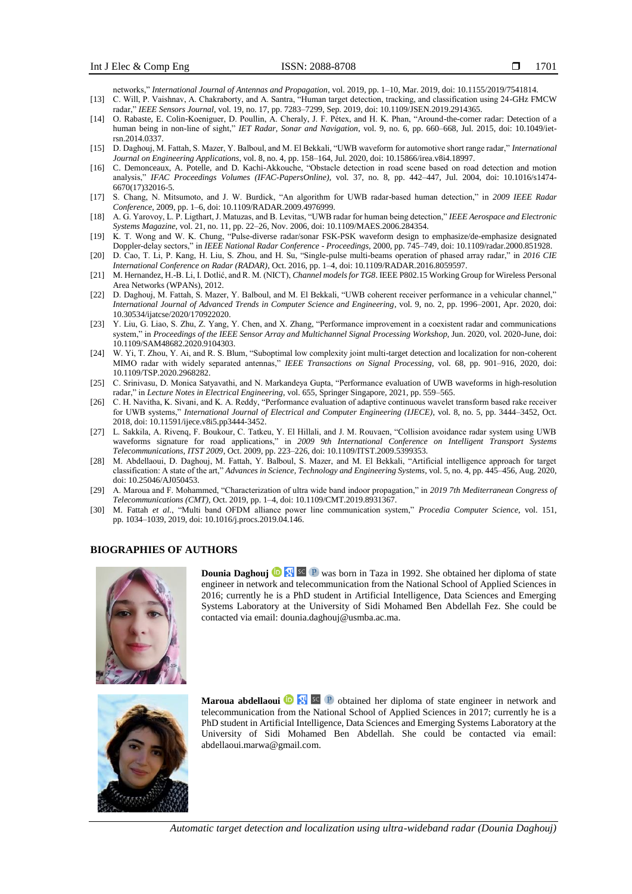networks," *International Journal of Antennas and Propagation*, vol. 2019, pp. 1–10, Mar. 2019, doi: 10.1155/2019/7541814.

- [13] C. Will, P. Vaishnav, A. Chakraborty, and A. Santra, "Human target detection, tracking, and classification using 24-GHz FMCW radar," *IEEE Sensors Journal*, vol. 19, no. 17, pp. 7283–7299, Sep. 2019, doi: 10.1109/JSEN.2019.2914365.
- [14] O. Rabaste, E. Colin-Koeniguer, D. Poullin, A. Cheraly, J. F. Pétex, and H. K. Phan, "Around-the-corner radar: Detection of a human being in non-line of sight," *IET Radar, Sonar and Navigation*, vol. 9, no. 6, pp. 660–668, Jul. 2015, doi: 10.1049/ietrsn.2014.0337.
- [15] D. Daghouj, M. Fattah, S. Mazer, Y. Balboul, and M. El Bekkali, "UWB waveform for automotive short range radar," *International Journal on Engineering Applications*, vol. 8, no. 4, pp. 158–164, Jul. 2020, doi: 10.15866/irea.v8i4.18997.
- [16] C. Demonceaux, A. Potelle, and D. Kachi-Akkouche, "Obstacle detection in road scene based on road detection and motion analysis," *IFAC Proceedings Volumes (IFAC-PapersOnline)*, vol. 37, no. 8, pp. 442–447, Jul. 2004, doi: 10.1016/s1474- 6670(17)32016-5.
- [17] S. Chang, N. Mitsumoto, and J. W. Burdick, "An algorithm for UWB radar-based human detection," in *2009 IEEE Radar Conference*, 2009, pp. 1–6, doi: 10.1109/RADAR.2009.4976999.
- [18] A. G. Yarovoy, L. P. Ligthart, J. Matuzas, and B. Levitas, "UWB radar for human being detection," *IEEE Aerospace and Electronic Systems Magazine*, vol. 21, no. 11, pp. 22–26, Nov. 2006, doi: 10.1109/MAES.2006.284354.
- [19] K. T. Wong and W. K. Chung, "Pulse-diverse radar/sonar FSK-PSK waveform design to emphasize/de-emphasize designated Doppler-delay sectors," in *IEEE National Radar Conference - Proceedings*, 2000, pp. 745–749, doi: 10.1109/radar.2000.851928.
- [20] D. Cao, T. Li, P. Kang, H. Liu, S. Zhou, and H. Su, "Single-pulse multi-beams operation of phased array radar," in *2016 CIE International Conference on Radar (RADAR)*, Oct. 2016, pp. 1–4, doi: 10.1109/RADAR.2016.8059597.
- [21] M. Hernandez, H.-B. Li, I. Dotlić, and R. M. (NICT), *Channel models for TG8*. IEEE P802.15 Working Group for Wireless Personal Area Networks (WPANs), 2012.
- [22] D. Daghouj, M. Fattah, S. Mazer, Y. Balboul, and M. El Bekkali, "UWB coherent receiver performance in a vehicular channel," *International Journal of Advanced Trends in Computer Science and Engineering*, vol. 9, no. 2, pp. 1996–2001, Apr. 2020, doi: 10.30534/ijatcse/2020/170922020.
- [23] Y. Liu, G. Liao, S. Zhu, Z. Yang, Y. Chen, and X. Zhang, "Performance improvement in a coexistent radar and communications system," in *Proceedings of the IEEE Sensor Array and Multichannel Signal Processing Workshop*, Jun. 2020, vol. 2020-June, doi: 10.1109/SAM48682.2020.9104303.
- [24] W. Yi, T. Zhou, Y. Ai, and R. S. Blum, "Suboptimal low complexity joint multi-target detection and localization for non-coherent MIMO radar with widely separated antennas," *IEEE Transactions on Signal Processing*, vol. 68, pp. 901–916, 2020, doi: 10.1109/TSP.2020.2968282.
- [25] C. Srinivasu, D. Monica Satyavathi, and N. Markandeya Gupta, "Performance evaluation of UWB waveforms in high-resolution radar," in *Lecture Notes in Electrical Engineering*, vol. 655, Springer Singapore, 2021, pp. 559–565.
- [26] C. H. Navitha, K. Sivani, and K. A. Reddy, "Performance evaluation of adaptive continuous wavelet transform based rake receiver for UWB systems," *International Journal of Electrical and Computer Engineering (IJECE)*, vol. 8, no. 5, pp. 3444–3452, Oct. 2018, doi: 10.11591/ijece.v8i5.pp3444-3452.
- [27] L. Sakkila, A. Rivenq, F. Boukour, C. Tatkeu, Y. El Hillali, and J. M. Rouvaen, "Collision avoidance radar system using UWB waveforms signature for road applications," in *2009 9th International Conference on Intelligent Transport Systems Telecommunications, ITST 2009*, Oct. 2009, pp. 223–226, doi: 10.1109/ITST.2009.5399353.
- [28] M. Abdellaoui, D. Daghouj, M. Fattah, Y. Balboul, S. Mazer, and M. El Bekkali, "Artificial intelligence approach for target classification: A state of the art," *Advances in Science, Technology and Engineering Systems*, vol. 5, no. 4, pp. 445–456, Aug. 2020, doi: 10.25046/AJ050453.
- [29] A. Maroua and F. Mohammed, "Characterization of ultra wide band indoor propagation," in *2019 7th Mediterranean Congress of Telecommunications (CMT)*, Oct. 2019, pp. 1–4, doi: 10.1109/CMT.2019.8931367.
- [30] M. Fattah *et al.*, "Multi band OFDM alliance power line communication system," *Procedia Computer Science*, vol. 151, pp. 1034–1039, 2019, doi: 10.1016/j.procs.2019.04.146.

### **BIOGRAPHIES OF AUTHORS**



**Dounia Daghouj <sup>to</sup> <sup>y</sup> sc P** was born in Taza in 1992. She obtained her diploma of state engineer in network and telecommunication from the National School of Applied Sciences in 2016; currently he is a PhD student in Artificial Intelligence, Data Sciences and Emerging Systems Laboratory at the University of Sidi Mohamed Ben Abdellah Fez. She could be contacted via email[: dounia.daghouj@usmba.ac.ma.](mailto:dounia.daghouj@usmba.ac.ma)



**Maroua abdellaoui D S C P** obtained her diploma of state engineer in network and telecommunication from the National School of Applied Sciences in 2017; currently he is a PhD student in Artificial Intelligence, Data Sciences and Emerging Systems Laboratory at the University of Sidi Mohamed Ben Abdellah. She could be contacted via email: abdellaoui.marwa@gmail.com.

*Automatic target detection and localization using ultra-wideband radar (Dounia Daghouj)*